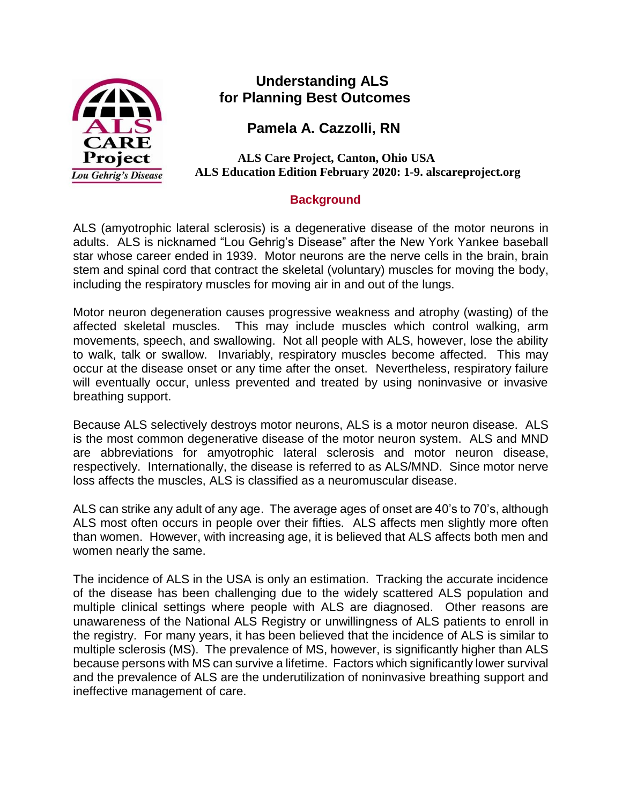

# **Understanding ALS for Planning Best Outcomes**

 **Pamela A. Cazzolli, RN**

 **ALS Care Project, Canton, Ohio USA ALS Education Edition February 2020: 1-9. alscareproject.org**

# **Background**

ALS (amyotrophic lateral sclerosis) is a degenerative disease of the motor neurons in adults. ALS is nicknamed "Lou Gehrig's Disease" after the New York Yankee baseball star whose career ended in 1939. Motor neurons are the nerve cells in the brain, brain stem and spinal cord that contract the skeletal (voluntary) muscles for moving the body, including the respiratory muscles for moving air in and out of the lungs.

Motor neuron degeneration causes progressive weakness and atrophy (wasting) of the affected skeletal muscles. This may include muscles which control walking, arm movements, speech, and swallowing. Not all people with ALS, however, lose the ability to walk, talk or swallow. Invariably, respiratory muscles become affected. This may occur at the disease onset or any time after the onset. Nevertheless, respiratory failure will eventually occur, unless prevented and treated by using noninvasive or invasive breathing support.

Because ALS selectively destroys motor neurons, ALS is a motor neuron disease. ALS is the most common degenerative disease of the motor neuron system. ALS and MND are abbreviations for amyotrophic lateral sclerosis and motor neuron disease, respectively. Internationally, the disease is referred to as ALS/MND. Since motor nerve loss affects the muscles, ALS is classified as a neuromuscular disease.

ALS can strike any adult of any age. The average ages of onset are 40's to 70's, although ALS most often occurs in people over their fifties. ALS affects men slightly more often than women. However, with increasing age, it is believed that ALS affects both men and women nearly the same.

The incidence of ALS in the USA is only an estimation. Tracking the accurate incidence of the disease has been challenging due to the widely scattered ALS population and multiple clinical settings where people with ALS are diagnosed. Other reasons are unawareness of the National ALS Registry or unwillingness of ALS patients to enroll in the registry. For many years, it has been believed that the incidence of ALS is similar to multiple sclerosis (MS). The prevalence of MS, however, is significantly higher than ALS because persons with MS can survive a lifetime. Factors which significantly lower survival and the prevalence of ALS are the underutilization of noninvasive breathing support and ineffective management of care.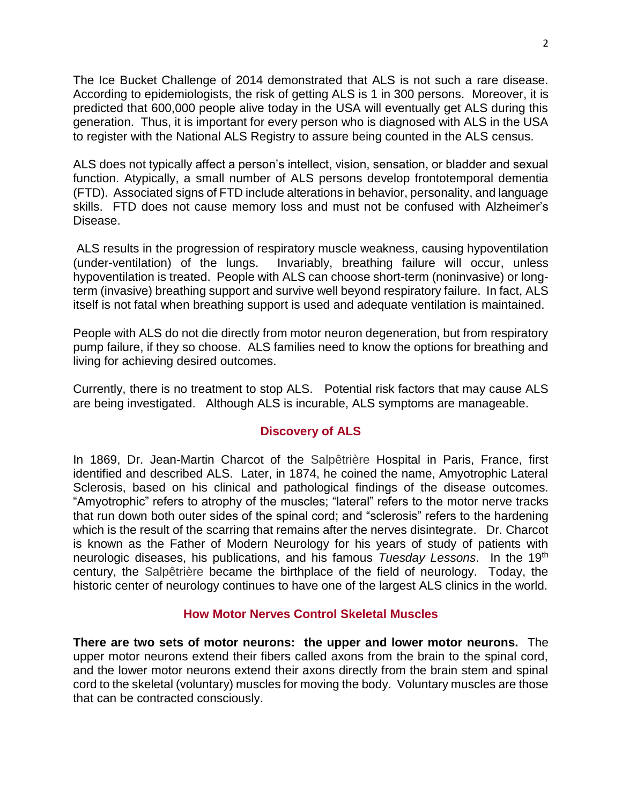The Ice Bucket Challenge of 2014 demonstrated that ALS is not such a rare disease. According to epidemiologists, the risk of getting ALS is 1 in 300 persons. Moreover, it is predicted that 600,000 people alive today in the USA will eventually get ALS during this generation. Thus, it is important for every person who is diagnosed with ALS in the USA to register with the National ALS Registry to assure being counted in the ALS census.

ALS does not typically affect a person's intellect, vision, sensation, or bladder and sexual function. Atypically, a small number of ALS persons develop frontotemporal dementia (FTD). Associated signs of FTD include alterations in behavior, personality, and language skills. FTD does not cause memory loss and must not be confused with Alzheimer's Disease.

ALS results in the progression of respiratory muscle weakness, causing hypoventilation (under-ventilation) of the lungs. Invariably, breathing failure will occur, unless hypoventilation is treated. People with ALS can choose short-term (noninvasive) or longterm (invasive) breathing support and survive well beyond respiratory failure. In fact, ALS itself is not fatal when breathing support is used and adequate ventilation is maintained.

People with ALS do not die directly from motor neuron degeneration, but from respiratory pump failure, if they so choose. ALS families need to know the options for breathing and living for achieving desired outcomes.

Currently, there is no treatment to stop ALS. Potential risk factors that may cause ALS are being investigated. Although ALS is incurable, ALS symptoms are manageable.

## **Discovery of ALS**

In 1869, Dr. Jean-Martin Charcot of the Salpêtrière Hospital in Paris, France, first identified and described ALS. Later, in 1874, he coined the name, Amyotrophic Lateral Sclerosis, based on his clinical and pathological findings of the disease outcomes. "Amyotrophic" refers to atrophy of the muscles; "lateral" refers to the motor nerve tracks that run down both outer sides of the spinal cord; and "sclerosis" refers to the hardening which is the result of the scarring that remains after the nerves disintegrate. Dr. Charcot is known as the Father of Modern Neurology for his years of study of patients with neurologic diseases, his publications, and his famous *Tuesday Lessons*. In the 19th century, the Salpêtrière became the birthplace of the field of neurology. Today, the historic center of neurology continues to have one of the largest ALS clinics in the world.

### **How Motor Nerves Control Skeletal Muscles**

**There are two sets of motor neurons: the upper and lower motor neurons.** The upper motor neurons extend their fibers called axons from the brain to the spinal cord, and the lower motor neurons extend their axons directly from the brain stem and spinal cord to the skeletal (voluntary) muscles for moving the body.Voluntary muscles are those that can be contracted consciously.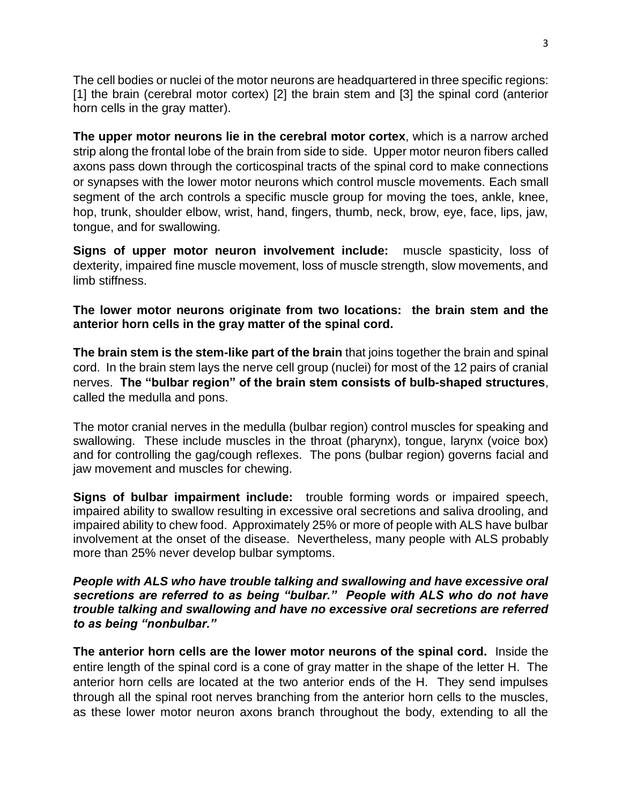The cell bodies or nuclei of the motor neurons are headquartered in three specific regions: [1] the brain (cerebral motor cortex) [2] the brain stem and [3] the spinal cord (anterior horn cells in the gray matter).

**The upper motor neurons lie in the cerebral motor cortex**, which is a narrow arched strip along the frontal lobe of the brain from side to side. Upper motor neuron fibers called axons pass down through the corticospinal tracts of the spinal cord to make connections or synapses with the lower motor neurons which control muscle movements. Each small segment of the arch controls a specific muscle group for moving the toes, ankle, knee, hop, trunk, shoulder elbow, wrist, hand, fingers, thumb, neck, brow, eye, face, lips, jaw, tongue, and for swallowing.

**Signs of upper motor neuron involvement include:** muscle spasticity, loss of dexterity, impaired fine muscle movement, loss of muscle strength, slow movements, and limb stiffness.

**The lower motor neurons originate from two locations: the brain stem and the anterior horn cells in the gray matter of the spinal cord.**

**The brain stem is the stem-like part of the brain** that joins together the brain and spinal cord.In the brain stem lays the nerve cell group (nuclei) for most of the 12 pairs of cranial nerves. **The "bulbar region" of the brain stem consists of bulb-shaped structures**, called the medulla and pons.

The motor cranial nerves in the medulla (bulbar region) control muscles for speaking and swallowing. These include muscles in the throat (pharynx), tongue, larynx (voice box) and for controlling the gag/cough reflexes. The pons (bulbar region) governs facial and jaw movement and muscles for chewing.

**Signs of bulbar impairment include:** trouble forming words or impaired speech, impaired ability to swallow resulting in excessive oral secretions and saliva drooling, and impaired ability to chew food. Approximately 25% or more of people with ALS have bulbar involvement at the onset of the disease. Nevertheless, many people with ALS probably more than 25% never develop bulbar symptoms.

### *People with ALS who have trouble talking and swallowing and have excessive oral secretions are referred to as being "bulbar." People with ALS who do not have trouble talking and swallowing and have no excessive oral secretions are referred to as being "nonbulbar."*

**The anterior horn cells are the lower motor neurons of the spinal cord.** Inside the entire length of the spinal cord is a cone of gray matter in the shape of the letter H. The anterior horn cells are located at the two anterior ends of the H. They send impulses through all the spinal root nerves branching from the anterior horn cells to the muscles, as these lower motor neuron axons branch throughout the body, extending to all the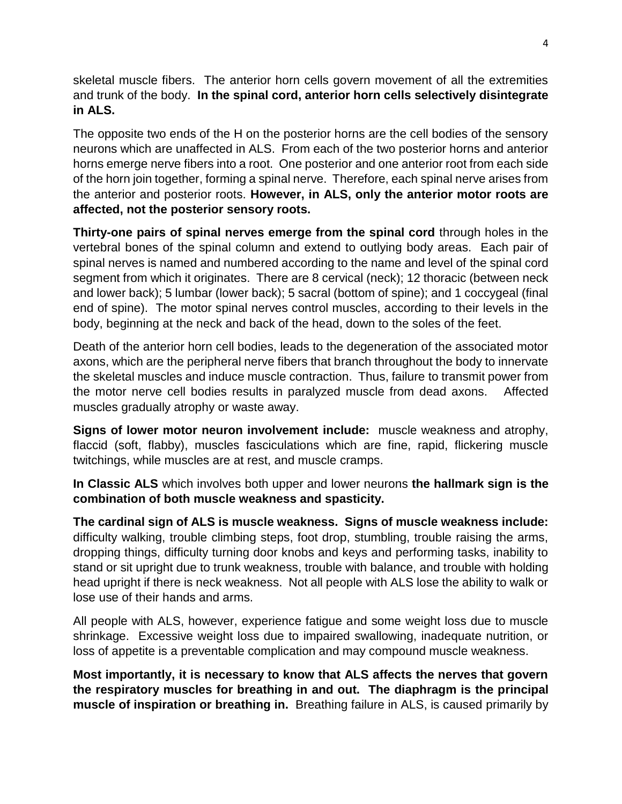skeletal muscle fibers. The anterior horn cells govern movement of all the extremities and trunk of the body. **In the spinal cord, anterior horn cells selectively disintegrate in ALS.**

The opposite two ends of the H on the posterior horns are the cell bodies of the sensory neurons which are unaffected in ALS. From each of the two posterior horns and anterior horns emerge nerve fibers into a root. One posterior and one anterior root from each side of the horn join together, forming a spinal nerve. Therefore, each spinal nerve arises from the anterior and posterior roots. **However, in ALS, only the anterior motor roots are affected, not the posterior sensory roots.** 

**Thirty-one pairs of spinal nerves emerge from the spinal cord** through holes in the vertebral bones of the spinal column and extend to outlying body areas. Each pair of spinal nerves is named and numbered according to the name and level of the spinal cord segment from which it originates. There are 8 cervical (neck); 12 thoracic (between neck and lower back); 5 lumbar (lower back); 5 sacral (bottom of spine); and 1 coccygeal (final end of spine). The motor spinal nerves control muscles, according to their levels in the body, beginning at the neck and back of the head, down to the soles of the feet.

Death of the anterior horn cell bodies, leads to the degeneration of the associated motor axons, which are the peripheral nerve fibers that branch throughout the body to innervate the skeletal muscles and induce muscle contraction. Thus, failure to transmit power from the motor nerve cell bodies results in paralyzed muscle from dead axons. Affected muscles gradually atrophy or waste away.

**Signs of lower motor neuron involvement include:** muscle weakness and atrophy, flaccid (soft, flabby), muscles fasciculations which are fine, rapid, flickering muscle twitchings, while muscles are at rest, and muscle cramps.

**In Classic ALS** which involves both upper and lower neurons **the hallmark sign is the combination of both muscle weakness and spasticity.**

**The cardinal sign of ALS is muscle weakness. Signs of muscle weakness include:** difficulty walking, trouble climbing steps, foot drop, stumbling, trouble raising the arms, dropping things, difficulty turning door knobs and keys and performing tasks, inability to stand or sit upright due to trunk weakness, trouble with balance, and trouble with holding head upright if there is neck weakness. Not all people with ALS lose the ability to walk or lose use of their hands and arms.

All people with ALS, however, experience fatigue and some weight loss due to muscle shrinkage. Excessive weight loss due to impaired swallowing, inadequate nutrition, or loss of appetite is a preventable complication and may compound muscle weakness.

**Most importantly, it is necessary to know that ALS affects the nerves that govern the respiratory muscles for breathing in and out. The diaphragm is the principal muscle of inspiration or breathing in.** Breathing failure in ALS, is caused primarily by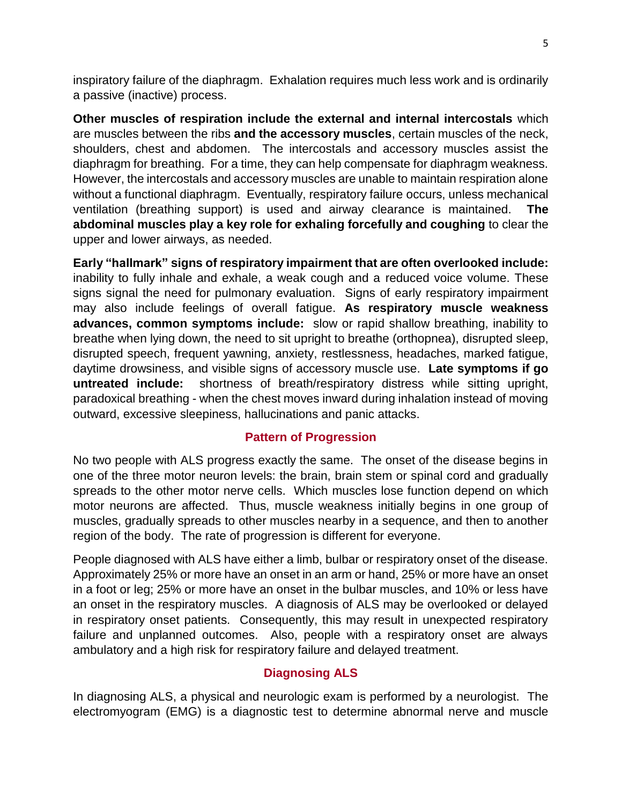inspiratory failure of the diaphragm. Exhalation requires much less work and is ordinarily a passive (inactive) process.

**Other muscles of respiration include the external and internal intercostals** which are muscles between the ribs **and the accessory muscles**, certain muscles of the neck, shoulders, chest and abdomen. The intercostals and accessory muscles assist the diaphragm for breathing. For a time, they can help compensate for diaphragm weakness. However, the intercostals and accessory muscles are unable to maintain respiration alone without a functional diaphragm. Eventually, respiratory failure occurs, unless mechanical ventilation (breathing support) is used and airway clearance is maintained. **The abdominal muscles play a key role for exhaling forcefully and coughing** to clear the upper and lower airways, as needed.

**Early "hallmark" signs of respiratory impairment that are often overlooked include:** inability to fully inhale and exhale, a weak cough and a reduced voice volume. These signs signal the need for pulmonary evaluation. Signs of early respiratory impairment may also include feelings of overall fatigue. **As respiratory muscle weakness advances, common symptoms include:** slow or rapid shallow breathing, inability to breathe when lying down, the need to sit upright to breathe (orthopnea), disrupted sleep, disrupted speech, frequent yawning, anxiety, restlessness, headaches, marked fatigue, daytime drowsiness, and visible signs of accessory muscle use. **Late symptoms if go untreated include:** shortness of breath/respiratory distress while sitting upright, paradoxical breathing - when the chest moves inward during inhalation instead of moving outward, excessive sleepiness, hallucinations and panic attacks.

### **Pattern of Progression**

No two people with ALS progress exactly the same. The onset of the disease begins in one of the three motor neuron levels: the brain, brain stem or spinal cord and gradually spreads to the other motor nerve cells. Which muscles lose function depend on which motor neurons are affected. Thus, muscle weakness initially begins in one group of muscles, gradually spreads to other muscles nearby in a sequence, and then to another region of the body. The rate of progression is different for everyone.

People diagnosed with ALS have either a limb, bulbar or respiratory onset of the disease. Approximately 25% or more have an onset in an arm or hand, 25% or more have an onset in a foot or leg; 25% or more have an onset in the bulbar muscles, and 10% or less have an onset in the respiratory muscles. A diagnosis of ALS may be overlooked or delayed in respiratory onset patients. Consequently, this may result in unexpected respiratory failure and unplanned outcomes. Also, people with a respiratory onset are always ambulatory and a high risk for respiratory failure and delayed treatment.

## **Diagnosing ALS**

In diagnosing ALS, a physical and neurologic exam is performed by a neurologist. The electromyogram (EMG) is a diagnostic test to determine abnormal nerve and muscle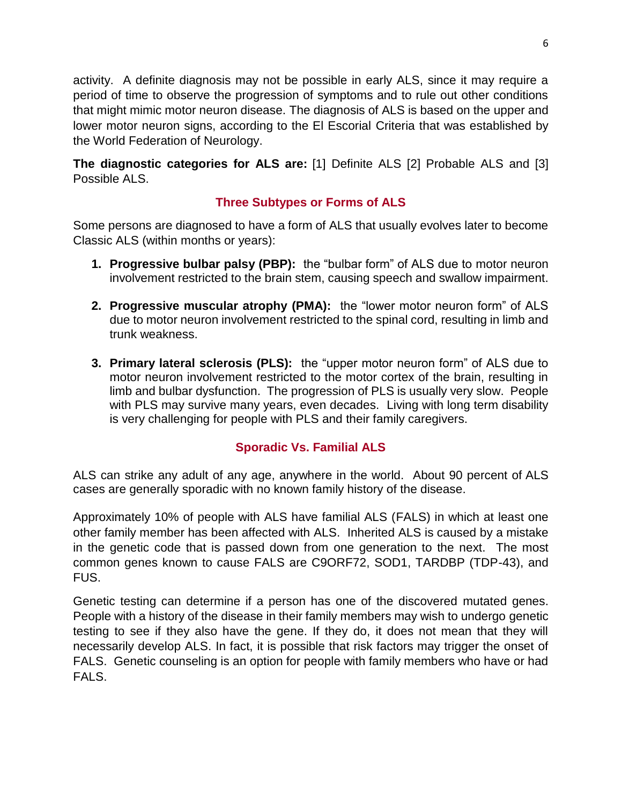activity. A definite diagnosis may not be possible in early ALS, since it may require a period of time to observe the progression of symptoms and to rule out other conditions that might mimic motor neuron disease. The diagnosis of ALS is based on the upper and lower motor neuron signs, according to the El Escorial Criteria that was established by the World Federation of Neurology.

**The diagnostic categories for ALS are:** [1] Definite ALS [2] Probable ALS and [3] Possible ALS.

# **Three Subtypes or Forms of ALS**

Some persons are diagnosed to have a form of ALS that usually evolves later to become Classic ALS (within months or years):

- **1. Progressive bulbar palsy (PBP):** the "bulbar form" of ALS due to motor neuron involvement restricted to the brain stem, causing speech and swallow impairment.
- **2. Progressive muscular atrophy (PMA):** the "lower motor neuron form" of ALS due to motor neuron involvement restricted to the spinal cord, resulting in limb and trunk weakness.
- **3. Primary lateral sclerosis (PLS):** the "upper motor neuron form" of ALS due to motor neuron involvement restricted to the motor cortex of the brain, resulting in limb and bulbar dysfunction. The progression of PLS is usually very slow. People with PLS may survive many years, even decades. Living with long term disability is very challenging for people with PLS and their family caregivers.

# **Sporadic Vs. Familial ALS**

ALS can strike any adult of any age, anywhere in the world. About 90 percent of ALS cases are generally sporadic with no known family history of the disease.

Approximately 10% of people with ALS have familial ALS (FALS) in which at least one other family member has been affected with ALS. Inherited ALS is caused by a mistake in the genetic code that is passed down from one generation to the next. The most common genes known to cause FALS are C9ORF72, SOD1, TARDBP (TDP-43), and FUS.

Genetic testing can determine if a person has one of the discovered mutated genes. People with a history of the disease in their family members may wish to undergo genetic testing to see if they also have the gene. If they do, it does not mean that they will necessarily develop ALS. In fact, it is possible that risk factors may trigger the onset of FALS. Genetic counseling is an option for people with family members who have or had FALS.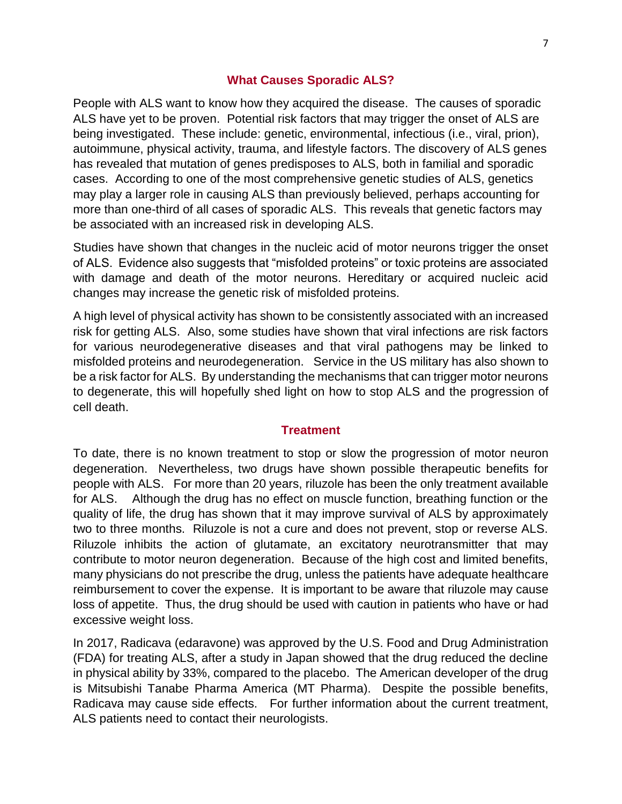#### **What Causes Sporadic ALS?**

People with ALS want to know how they acquired the disease. The causes of sporadic ALS have yet to be proven. Potential risk factors that may trigger the onset of ALS are being investigated. These include: genetic, environmental, infectious (i.e., viral, prion), autoimmune, physical activity, trauma, and lifestyle factors. The discovery of ALS genes has revealed that mutation of genes predisposes to ALS, both in familial and sporadic cases. According to one of the most comprehensive genetic studies of ALS, genetics may play a larger role in causing ALS than previously believed, perhaps accounting for more than one-third of all cases of sporadic ALS. This reveals that genetic factors may be associated with an increased risk in developing ALS.

Studies have shown that changes in the nucleic acid of motor neurons trigger the onset of ALS. Evidence also suggests that "misfolded proteins" or toxic proteins are associated with damage and death of the motor neurons. Hereditary or acquired nucleic acid changes may increase the genetic risk of misfolded proteins.

A high level of physical activity has shown to be consistently associated with an increased risk for getting ALS. Also, some studies have shown that viral infections are risk factors for various neurodegenerative diseases and that viral pathogens may be linked to misfolded proteins and neurodegeneration. Service in the US military has also shown to be a risk factor for ALS. By understanding the mechanisms that can trigger motor neurons to degenerate, this will hopefully shed light on how to stop ALS and the progression of cell death.

#### **Treatment**

To date, there is no known treatment to stop or slow the progression of motor neuron degeneration. Nevertheless, two drugs have shown possible therapeutic benefits for people with ALS. For more than 20 years, riluzole has been the only treatment available for ALS. Although the drug has no effect on muscle function, breathing function or the quality of life, the drug has shown that it may improve survival of ALS by approximately two to three months. Riluzole is not a cure and does not prevent, stop or reverse ALS. Riluzole inhibits the action of glutamate, an excitatory neurotransmitter that may contribute to motor neuron degeneration. Because of the high cost and limited benefits, many physicians do not prescribe the drug, unless the patients have adequate healthcare reimbursement to cover the expense. It is important to be aware that riluzole may cause loss of appetite. Thus, the drug should be used with caution in patients who have or had excessive weight loss.

In 2017, Radicava (edaravone) was approved by the U.S. Food and Drug Administration (FDA) for treating ALS, after a study in Japan showed that the drug reduced the decline in physical ability by 33%, compared to the placebo. The American developer of the drug is Mitsubishi Tanabe Pharma America (MT Pharma). Despite the possible benefits, Radicava may cause side effects. For further information about the current treatment, ALS patients need to contact their neurologists.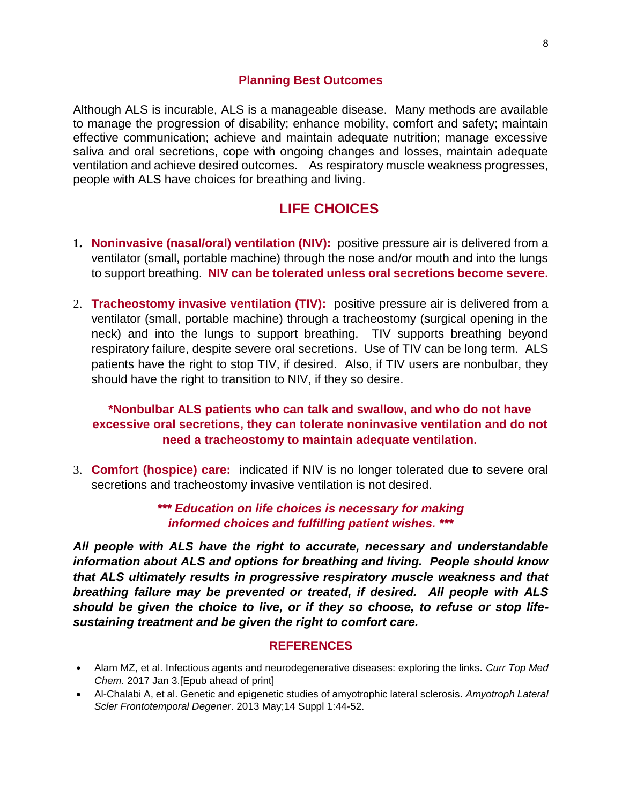#### **Planning Best Outcomes**

Although ALS is incurable, ALS is a manageable disease. Many methods are available to manage the progression of disability; enhance mobility, comfort and safety; maintain effective communication; achieve and maintain adequate nutrition; manage excessive saliva and oral secretions, cope with ongoing changes and losses, maintain adequate ventilation and achieve desired outcomes. As respiratory muscle weakness progresses, people with ALS have choices for breathing and living.

# **LIFE CHOICES**

- **1. Noninvasive (nasal/oral) ventilation (NIV):** positive pressure air is delivered from a ventilator (small, portable machine) through the nose and/or mouth and into the lungs to support breathing. **NIV can be tolerated unless oral secretions become severe.**
- 2. **Tracheostomy invasive ventilation (TIV):** positive pressure air is delivered from a ventilator (small, portable machine) through a tracheostomy (surgical opening in the neck) and into the lungs to support breathing. TIV supports breathing beyond respiratory failure, despite severe oral secretions. Use of TIV can be long term. ALS patients have the right to stop TIV, if desired. Also, if TIV users are nonbulbar, they should have the right to transition to NIV, if they so desire.

### **\*Nonbulbar ALS patients who can talk and swallow, and who do not have excessive oral secretions, they can tolerate noninvasive ventilation and do not need a tracheostomy to maintain adequate ventilation.**

3. **Comfort (hospice) care:** indicated if NIV is no longer tolerated due to severe oral secretions and tracheostomy invasive ventilation is not desired.

### *\*\*\* Education on life choices is necessary for making informed choices and fulfilling patient wishes. \*\*\**

*All people with ALS have the right to accurate, necessary and understandable information about ALS and options for breathing and living. People should know that ALS ultimately results in progressive respiratory muscle weakness and that breathing failure may be prevented or treated, if desired. All people with ALS should be given the choice to live, or if they so choose, to refuse or stop lifesustaining treatment and be given the right to comfort care.*

#### **REFERENCES**

- Alam MZ, et al. Infectious agents and neurodegenerative diseases: exploring the links. *Curr Top Med Chem*. 2017 Jan 3.[Epub ahead of print]
- Al-Chalabi A, et al. Genetic and epigenetic studies of amyotrophic lateral sclerosis. *Amyotroph Lateral Scler Frontotemporal Degener*. 2013 May;14 Suppl 1:44-52.